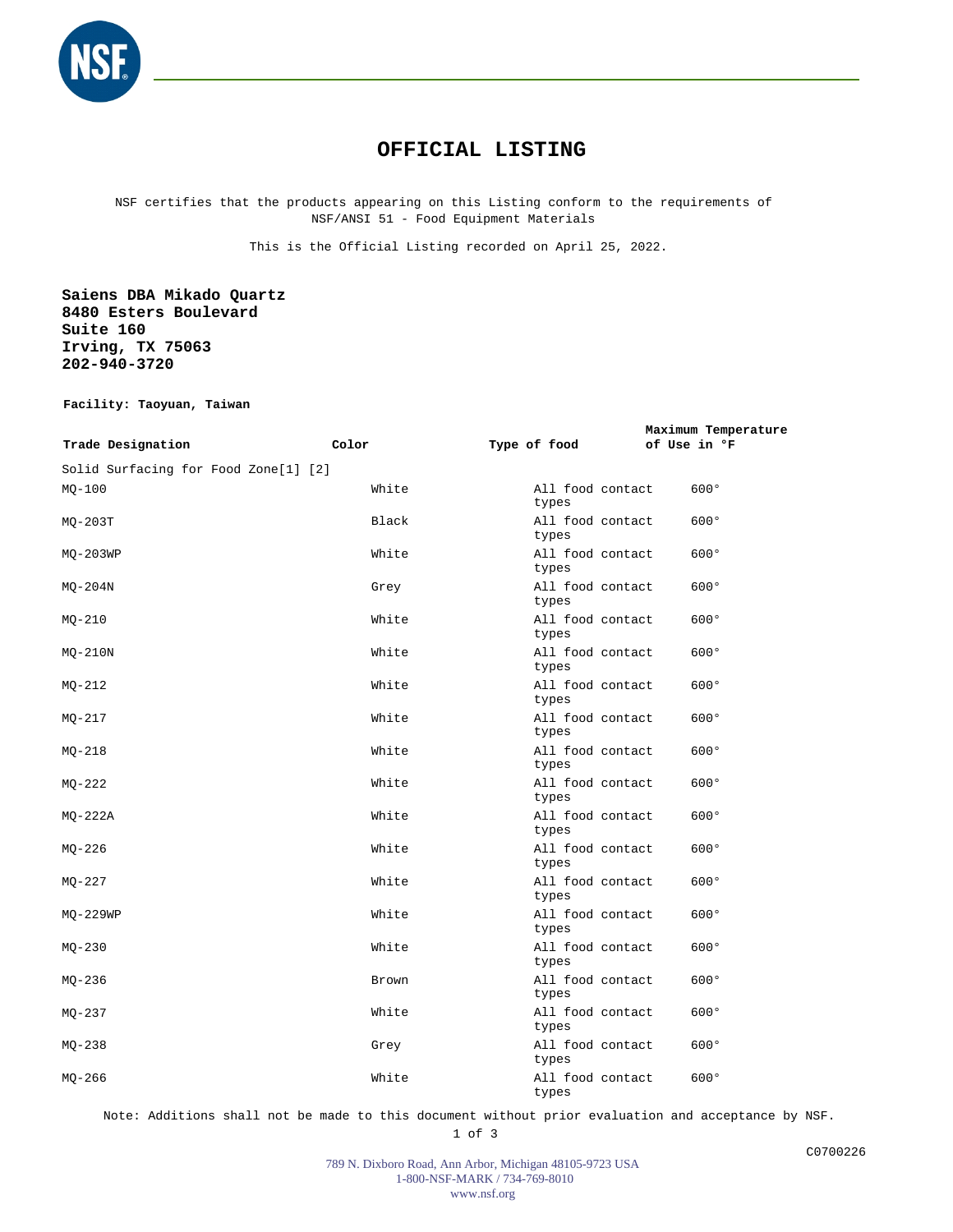

## **OFFICIAL LISTING**

NSF certifies that the products appearing on this Listing conform to the requirements of NSF/ANSI 51 - Food Equipment Materials

This is the Official Listing recorded on April 25, 2022.

**Saiens DBA Mikado Quartz 8480 Esters Boulevard Suite 160 Irving, TX 75063 202-940-3720**

**Facility: Taoyuan, Taiwan**

| Trade Designation                    | Color | Type of food              | Maximum Temperature<br>of Use in °F |
|--------------------------------------|-------|---------------------------|-------------------------------------|
| Solid Surfacing for Food Zone[1] [2] |       |                           |                                     |
| $MO-100$                             | White | All food contact<br>types | 600°                                |
| $MQ-203T$                            | Black | All food contact<br>types | 600°                                |
| $MQ-203WP$                           | White | All food contact<br>types | 600°                                |
| $MO-204N$                            | Grey  | All food contact<br>types | 600°                                |
| $MQ-210$                             | White | All food contact<br>types | 600°                                |
| $MQ-210N$                            | White | All food contact<br>types | 600°                                |
| $MQ-212$                             | White | All food contact<br>types | 600°                                |
| MQ-217                               | White | All food contact<br>types | 600°                                |
| MQ-218                               | White | All food contact<br>types | 600°                                |
| MQ-222                               | White | All food contact<br>types | 600°                                |
| $MQ-222A$                            | White | All food contact<br>types | 600°                                |
| MQ-226                               | White | All food contact<br>types | 600°                                |
| MQ-227                               | White | All food contact<br>types | 600°                                |
| $MO-229WP$                           | White | All food contact<br>types | 600°                                |
| $MO-230$                             | White | All food contact<br>types | 600°                                |
| $MQ-236$                             | Brown | All food contact<br>types | 600°                                |
| MQ-237                               | White | All food contact<br>types | 600°                                |
| $MQ-238$                             | Grey  | All food contact<br>types | 600°                                |
| MQ-266                               | White | All food contact<br>types | 600°                                |

Note: Additions shall not be made to this document without prior evaluation and acceptance by NSF.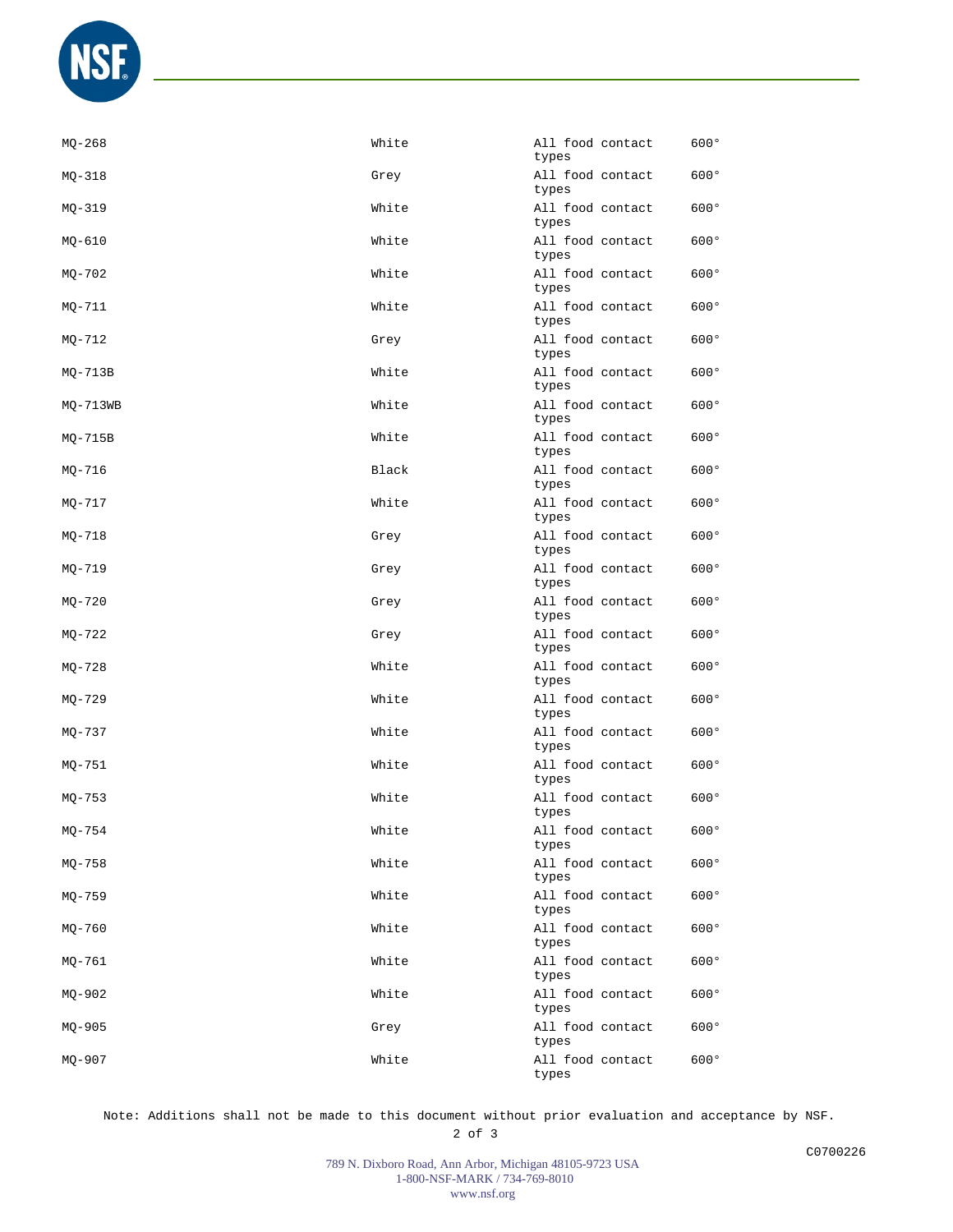

| MQ-268     | White | All food contact<br>types | 600° |
|------------|-------|---------------------------|------|
| $MQ-318$   | Grey  | All food contact<br>types | 600° |
| MQ-319     | White | All food contact<br>types | 600° |
| MQ-610     | White | All food contact<br>types | 600° |
| MQ-702     | White | All food contact<br>types | 600° |
| MQ-711     | White | All food contact<br>types | 600° |
| $MQ-712$   | Grey  | All food contact<br>types | 600° |
| MQ-713B    | White | All food contact<br>types | 600° |
| MQ-713WB   | White | All food contact<br>types | 600° |
| MQ-715B    | White | All food contact<br>types | 600° |
| MQ-716     | Black | All food contact<br>types | 600° |
| MQ-717     | White | All food contact<br>types | 600° |
| MQ-718     | Grey  | All food contact<br>types | 600° |
| MQ-719     | Grey  | All food contact<br>types | 600° |
| MQ-720     | Grey  | All food contact<br>types | 600° |
| MQ-722     | Grey  | All food contact<br>types | 600° |
| MQ-728     | White | All food contact<br>types | 600° |
| MQ-729     | White | All food contact<br>types | 600° |
| MQ-737     | White | All food contact<br>types | 600° |
| MQ-751     | White | All food contact<br>types | 600° |
| MQ-753     | White | All food contact<br>types | 600° |
| $MQ - 754$ | White | All food contact<br>types | 600° |
| MQ-758     | White | All food contact<br>types | 600° |
| MQ-759     | White | All food contact<br>types | 600° |
| MQ-760     | White | All food contact<br>types | 600° |
| MQ-761     | White | All food contact<br>types | 600° |
| MQ-902     | White | All food contact<br>types | 600° |
| MQ-905     | Grey  | All food contact<br>types | 600° |
| MQ-907     | White | All food contact<br>types | 600° |

Note: Additions shall not be made to this document without prior evaluation and acceptance by NSF.